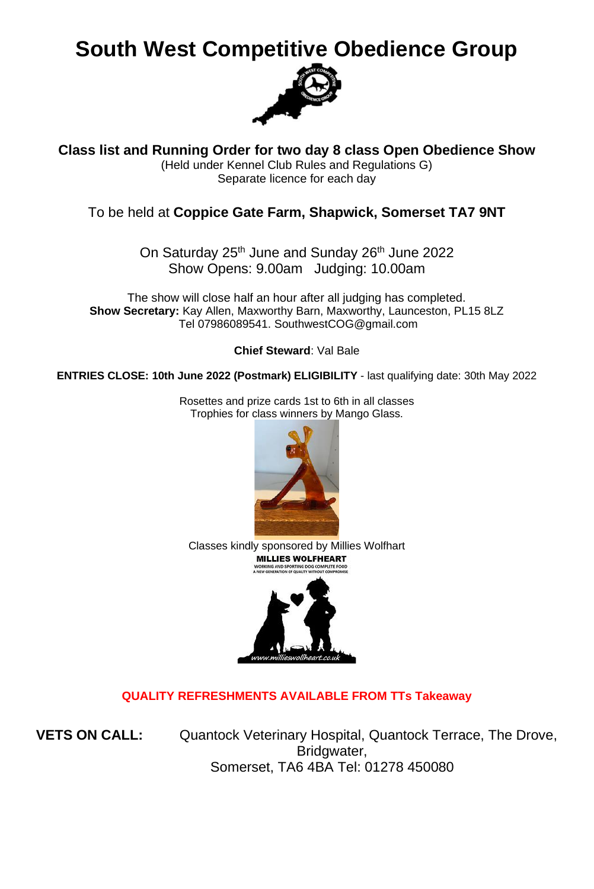# **South West Competitive Obedience Group**



**Class list and Running Order for two day 8 class Open Obedience Show**

(Held under Kennel Club Rules and Regulations G) Separate licence for each day

#### To be held at **Coppice Gate Farm, Shapwick, Somerset TA7 9NT**

On Saturday 25<sup>th</sup> June and Sunday 26<sup>th</sup> June 2022 Show Opens: 9.00am Judging: 10.00am

The show will close half an hour after all judging has completed. **Show Secretary:** Kay Allen, Maxworthy Barn, Maxworthy, Launceston, PL15 8LZ Tel 07986089541. SouthwestCOG@gmail.com

**Chief Steward**: Val Bale

**ENTRIES CLOSE: 10th June 2022 (Postmark) ELIGIBILITY** - last qualifying date: 30th May 2022

Rosettes and prize cards 1st to 6th in all classes Trophies for class winners by Mango Glass.

Classes kindly sponsored by Millies Wolfhart<br> **MILLIES WOLFHEART** WORKING AND SPORTING DOG COMPLETE FOOD



#### **QUALITY REFRESHMENTS AVAILABLE FROM TTs Takeaway**

**VETS ON CALL:** Quantock Veterinary Hospital, Quantock Terrace, The Drove, Bridgwater, Somerset, TA6 4BA Tel: 01278 450080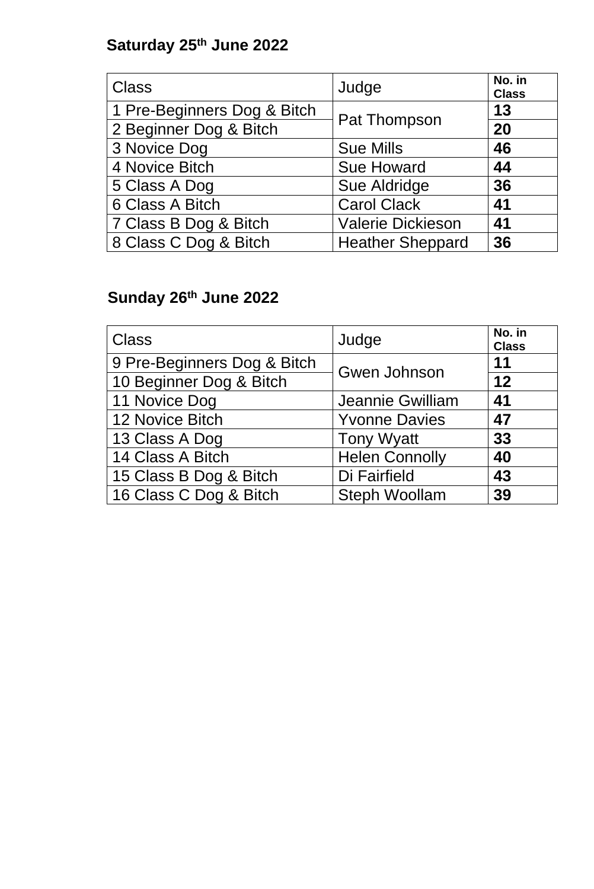## **Saturday 25th June 2022**

| <b>Class</b>                | Judge                    | No. in<br><b>Class</b> |
|-----------------------------|--------------------------|------------------------|
| 1 Pre-Beginners Dog & Bitch |                          | 13                     |
| 2 Beginner Dog & Bitch      | Pat Thompson             | 20                     |
| 3 Novice Dog                | <b>Sue Mills</b>         | 46                     |
| 4 Novice Bitch              | <b>Sue Howard</b>        | 44                     |
| 5 Class A Dog               | Sue Aldridge             | 36                     |
| 6 Class A Bitch             | <b>Carol Clack</b>       | 41                     |
| 7 Class B Dog & Bitch       | <b>Valerie Dickieson</b> | 41                     |
| 8 Class C Dog & Bitch       | <b>Heather Sheppard</b>  | 36                     |

# **Sunday 26th June 2022**

| <b>Class</b>                | Judge                 | No. in<br><b>Class</b> |
|-----------------------------|-----------------------|------------------------|
| 9 Pre-Beginners Dog & Bitch | Gwen Johnson          | 11                     |
| 10 Beginner Dog & Bitch     |                       | 12                     |
| 11 Novice Dog               | Jeannie Gwilliam      | 41                     |
| 12 Novice Bitch             | <b>Yvonne Davies</b>  | 47                     |
| 13 Class A Dog              | <b>Tony Wyatt</b>     | 33                     |
| 14 Class A Bitch            | <b>Helen Connolly</b> | 40                     |
| 15 Class B Dog & Bitch      | Di Fairfield          | 43                     |
| 16 Class C Dog & Bitch      | <b>Steph Woollam</b>  | 39                     |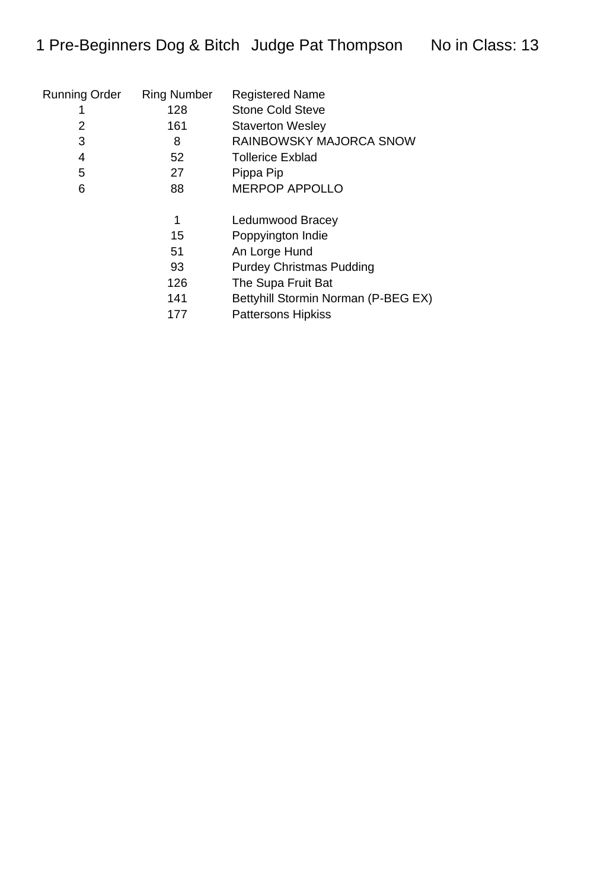| Running Order | <b>Ring Number</b> | <b>Registered Name</b>              |
|---------------|--------------------|-------------------------------------|
|               | 128                | <b>Stone Cold Steve</b>             |
| 2             | 161                | <b>Staverton Wesley</b>             |
| 3             | 8                  | RAINBOWSKY MAJORCA SNOW             |
| 4             | 52                 | <b>Tollerice Exblad</b>             |
| 5             | 27                 | Pippa Pip                           |
| 6             | 88                 | <b>MERPOP APPOLLO</b>               |
|               |                    |                                     |
|               | 1                  | Ledumwood Bracey                    |
|               | 15                 | Poppyington Indie                   |
|               | 51                 | An Lorge Hund                       |
|               | 93                 | <b>Purdey Christmas Pudding</b>     |
|               | 126                | The Supa Fruit Bat                  |
|               | 141                | Bettyhill Stormin Norman (P-BEG EX) |
|               | 177                | <b>Pattersons Hipkiss</b>           |
|               |                    |                                     |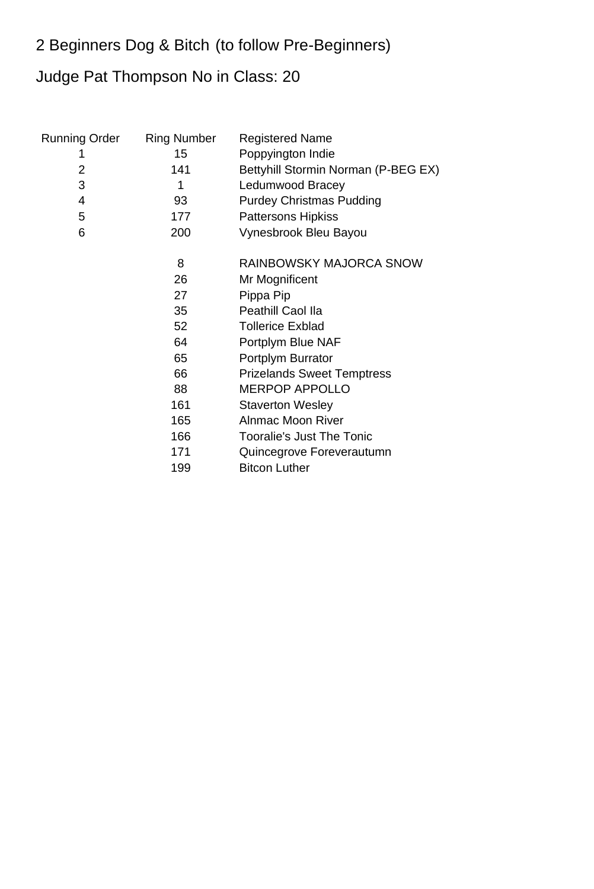### 2 Beginners Dog & Bitch (to follow Pre-Beginners)

## Judge Pat Thompson No in Class: 20

| <b>Running Order</b><br>1<br>$\overline{2}$<br>3<br>$\overline{4}$<br>5 | <b>Ring Number</b><br>15<br>141<br>1<br>93<br>177                            | <b>Registered Name</b><br>Poppyington Indie<br>Bettyhill Stormin Norman (P-BEG EX)<br>Ledumwood Bracey<br><b>Purdey Christmas Pudding</b><br><b>Pattersons Hipkiss</b>                                                                                                       |
|-------------------------------------------------------------------------|------------------------------------------------------------------------------|------------------------------------------------------------------------------------------------------------------------------------------------------------------------------------------------------------------------------------------------------------------------------|
| 6                                                                       | 200                                                                          | Vynesbrook Bleu Bayou                                                                                                                                                                                                                                                        |
|                                                                         | 8<br>26<br>27<br>35<br>52 <sub>2</sub><br>64<br>65<br>66<br>88<br>161<br>165 | <b>RAINBOWSKY MAJORCA SNOW</b><br>Mr Mognificent<br>Pippa Pip<br>Peathill Caol IIa<br><b>Tollerice Exblad</b><br>Portplym Blue NAF<br>Portplym Burrator<br><b>Prizelands Sweet Temptress</b><br><b>MERPOP APPOLLO</b><br><b>Staverton Wesley</b><br><b>Alnmac Moon River</b> |
|                                                                         | 166                                                                          | <b>Tooralie's Just The Tonic</b>                                                                                                                                                                                                                                             |
|                                                                         | 171<br>199                                                                   | Quincegrove Foreverautumn<br><b>Bitcon Luther</b>                                                                                                                                                                                                                            |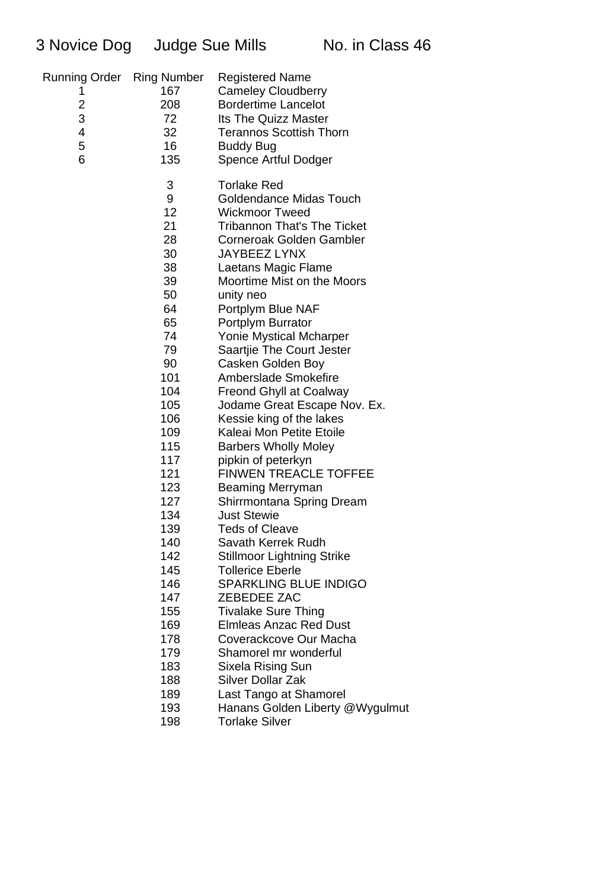| <b>Running Order</b> Ring Number<br>1<br>$\overline{c}$<br>3<br>4<br>5<br>6 | 167<br>208<br>72<br>32 <sub>2</sub><br>16 <sup>°</sup><br>135                                                                                                                                                                            | <b>Registered Name</b><br><b>Cameley Cloudberry</b><br><b>Bordertime Lancelot</b><br><b>Its The Quizz Master</b><br><b>Terannos Scottish Thorn</b><br><b>Buddy Bug</b><br>Spence Artful Dodger                                                                                                                                                                                                                                                                                                                                                                                                                                                                                                                                                                                                                                                                                                                                                                                            |
|-----------------------------------------------------------------------------|------------------------------------------------------------------------------------------------------------------------------------------------------------------------------------------------------------------------------------------|-------------------------------------------------------------------------------------------------------------------------------------------------------------------------------------------------------------------------------------------------------------------------------------------------------------------------------------------------------------------------------------------------------------------------------------------------------------------------------------------------------------------------------------------------------------------------------------------------------------------------------------------------------------------------------------------------------------------------------------------------------------------------------------------------------------------------------------------------------------------------------------------------------------------------------------------------------------------------------------------|
|                                                                             | 3<br>9<br>12<br>21<br>28<br>30<br>38<br>39<br>50<br>64<br>65<br>74<br>79<br>90<br>101<br>104<br>105<br>106<br>109<br>115<br>117<br>121<br>123<br>127<br>134<br>139<br>140<br>142<br>145<br>146<br>147<br>155<br>169<br>178<br>179<br>183 | <b>Torlake Red</b><br>Goldendance Midas Touch<br><b>Wickmoor Tweed</b><br><b>Tribannon That's The Ticket</b><br><b>Corneroak Golden Gambler</b><br><b>JAYBEEZ LYNX</b><br>Laetans Magic Flame<br>Moortime Mist on the Moors<br>unity neo<br>Portplym Blue NAF<br>Portplym Burrator<br><b>Yonie Mystical Mcharper</b><br>Saartjie The Court Jester<br>Casken Golden Boy<br>Amberslade Smokefire<br><b>Freond Ghyll at Coalway</b><br>Jodame Great Escape Nov. Ex.<br>Kessie king of the lakes<br>Kaleai Mon Petite Etoile<br><b>Barbers Wholly Moley</b><br>pipkin of peterkyn<br><b>FINWEN TREACLE TOFFEE</b><br>Beaming Merryman<br>Shirrmontana Spring Dream<br><b>Just Stewie</b><br><b>Teds of Cleave</b><br>Savath Kerrek Rudh<br><b>Stillmoor Lightning Strike</b><br><b>Tollerice Eberle</b><br><b>SPARKLING BLUE INDIGO</b><br>ZEBEDEE ZAC<br><b>Tivalake Sure Thing</b><br><b>Elmleas Anzac Red Dust</b><br>Coverackcove Our Macha<br>Shamorel mr wonderful<br>Sixela Rising Sun |
|                                                                             | 188<br>189                                                                                                                                                                                                                               | <b>Silver Dollar Zak</b><br>Last Tango at Shamorel                                                                                                                                                                                                                                                                                                                                                                                                                                                                                                                                                                                                                                                                                                                                                                                                                                                                                                                                        |
|                                                                             |                                                                                                                                                                                                                                          |                                                                                                                                                                                                                                                                                                                                                                                                                                                                                                                                                                                                                                                                                                                                                                                                                                                                                                                                                                                           |
|                                                                             | 193                                                                                                                                                                                                                                      | Hanans Golden Liberty @Wygulmut                                                                                                                                                                                                                                                                                                                                                                                                                                                                                                                                                                                                                                                                                                                                                                                                                                                                                                                                                           |
|                                                                             | 198                                                                                                                                                                                                                                      | <b>Torlake Silver</b>                                                                                                                                                                                                                                                                                                                                                                                                                                                                                                                                                                                                                                                                                                                                                                                                                                                                                                                                                                     |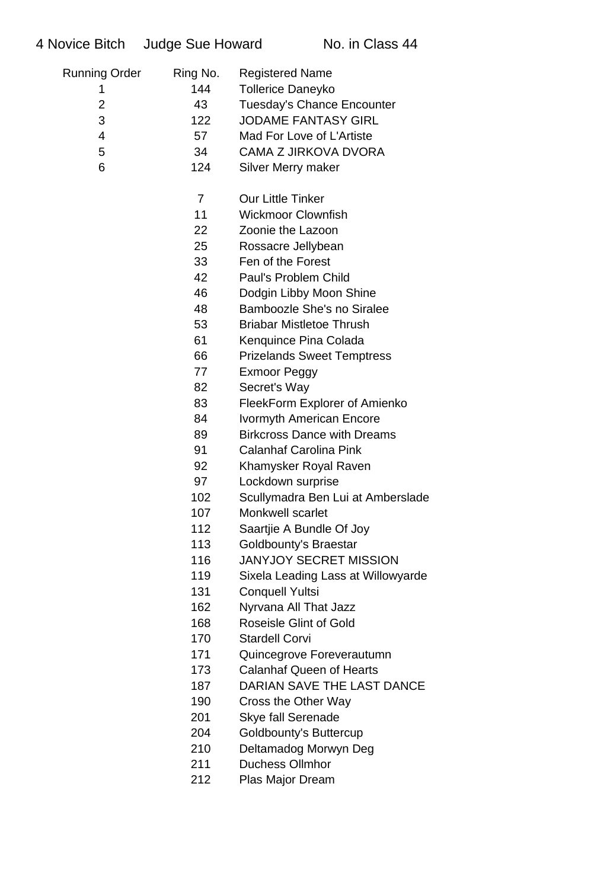| <b>Running Order</b> | Ring No.       | <b>Registered Name</b>             |
|----------------------|----------------|------------------------------------|
| 1                    | 144            | <b>Tollerice Daneyko</b>           |
| $\overline{2}$       | 43             | <b>Tuesday's Chance Encounter</b>  |
| 3                    | 122            | <b>JODAME FANTASY GIRL</b>         |
| $\overline{4}$       | 57             | Mad For Love of L'Artiste          |
| 5                    | 34             | <b>CAMA Z JIRKOVA DVORA</b>        |
| 6                    | 124            | Silver Merry maker                 |
|                      | $\overline{7}$ | <b>Our Little Tinker</b>           |
|                      | 11             | <b>Wickmoor Clownfish</b>          |
|                      | 22             | Zoonie the Lazoon                  |
|                      | 25             | Rossacre Jellybean                 |
|                      | 33             | Fen of the Forest                  |
|                      | 42             | Paul's Problem Child               |
|                      | 46             | Dodgin Libby Moon Shine            |
|                      | 48             | <b>Bamboozle She's no Siralee</b>  |
|                      | 53             | <b>Briabar Mistletoe Thrush</b>    |
|                      | 61             | Kenquince Pina Colada              |
|                      | 66             | <b>Prizelands Sweet Temptress</b>  |
|                      | 77             | Exmoor Peggy                       |
|                      | 82             | Secret's Way                       |
|                      | 83             | FleekForm Explorer of Amienko      |
|                      | 84             | <b>Ivormyth American Encore</b>    |
|                      | 89             | <b>Birkcross Dance with Dreams</b> |
|                      | 91             | <b>Calanhaf Carolina Pink</b>      |
|                      | 92             | Khamysker Royal Raven              |
|                      | 97             | Lockdown surprise                  |
|                      | 102            | Scullymadra Ben Lui at Amberslade  |
|                      | 107            | Monkwell scarlet                   |
|                      | 112            | Saartjie A Bundle Of Joy           |
|                      | 113            | Goldbounty's Braestar              |
|                      | 116            | <b>JANYJOY SECRET MISSION</b>      |
|                      | 119            | Sixela Leading Lass at Willowyarde |
|                      | 131            | <b>Conquell Yultsi</b>             |
|                      | 162            | Nyrvana All That Jazz              |
|                      | 168            | <b>Roseisle Glint of Gold</b>      |
|                      | 170            | <b>Stardell Corvi</b>              |
|                      | 171            | Quincegrove Foreverautumn          |
|                      | 173            | <b>Calanhaf Queen of Hearts</b>    |
|                      | 187            | DARIAN SAVE THE LAST DANCE         |
|                      | 190            | Cross the Other Way                |
|                      | 201            | <b>Skye fall Serenade</b>          |
|                      | 204            | Goldbounty's Buttercup             |
|                      | 210            | Deltamadog Morwyn Deg              |
|                      | 211            | <b>Duchess Ollmhor</b>             |

Plas Major Dream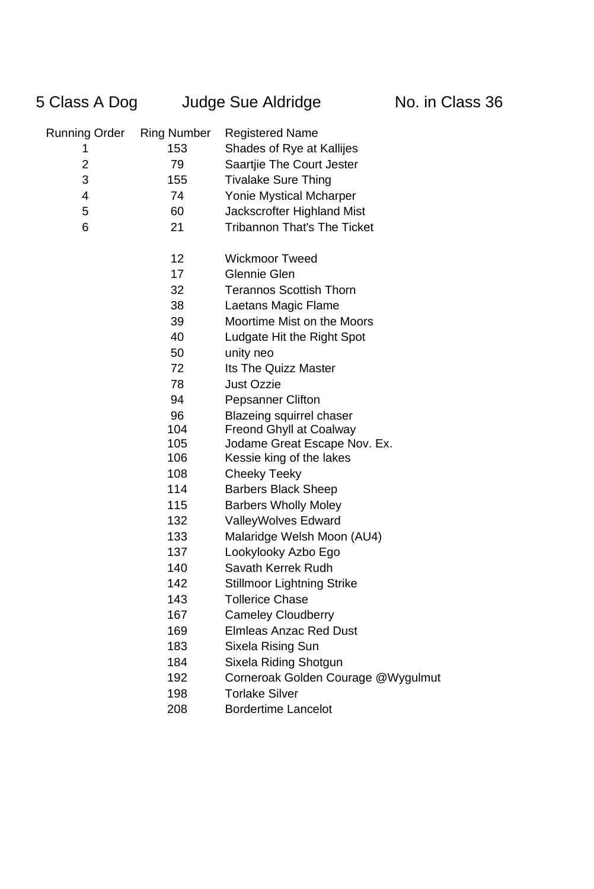## 5 Class A Dog Judge Sue Aldridge No. in Class 36

| Running Order  | <b>Ring Number</b> | <b>Registered Name</b>             |
|----------------|--------------------|------------------------------------|
| 1              | 153                | Shades of Rye at Kallijes          |
| $\overline{c}$ | 79                 | Saartjie The Court Jester          |
| 3              | 155                | <b>Tivalake Sure Thing</b>         |
| 4              | 74                 | <b>Yonie Mystical Mcharper</b>     |
| 5              | 60                 | Jackscrofter Highland Mist         |
| 6              | 21                 | <b>Tribannon That's The Ticket</b> |
|                | 12 <sub>2</sub>    | <b>Wickmoor Tweed</b>              |
|                | 17                 | Glennie Glen                       |
|                | 32                 | <b>Terannos Scottish Thorn</b>     |
|                | 38                 | Laetans Magic Flame                |
|                | 39                 | Moortime Mist on the Moors         |
|                | 40                 | Ludgate Hit the Right Spot         |
|                | 50                 | unity neo                          |
|                | 72                 | <b>Its The Quizz Master</b>        |
|                | 78                 | <b>Just Ozzie</b>                  |
|                | 94                 | <b>Pepsanner Clifton</b>           |
|                | 96                 | <b>Blazeing squirrel chaser</b>    |
|                | 104                | <b>Freond Ghyll at Coalway</b>     |
|                | 105                | Jodame Great Escape Nov. Ex.       |
|                | 106                | Kessie king of the lakes           |
|                | 108                | Cheeky Teeky                       |
|                | 114                | <b>Barbers Black Sheep</b>         |
|                | 115                | <b>Barbers Wholly Moley</b>        |
|                | 132                | <b>ValleyWolves Edward</b>         |
|                | 133                | Malaridge Welsh Moon (AU4)         |
|                | 137                | Lookylooky Azbo Ego                |
|                | 140                | Savath Kerrek Rudh                 |
|                | 142                | <b>Stillmoor Lightning Strike</b>  |
|                | 143                | <b>Tollerice Chase</b>             |
|                | 167                | <b>Cameley Cloudberry</b>          |
|                | 169                | <b>Elmleas Anzac Red Dust</b>      |
|                | 183                | Sixela Rising Sun                  |
|                | 184                | Sixela Riding Shotgun              |
|                | 192                | Corneroak Golden Courage @Wygulmut |
|                | 198                | <b>Torlake Silver</b>              |
|                | 208                | <b>Bordertime Lancelot</b>         |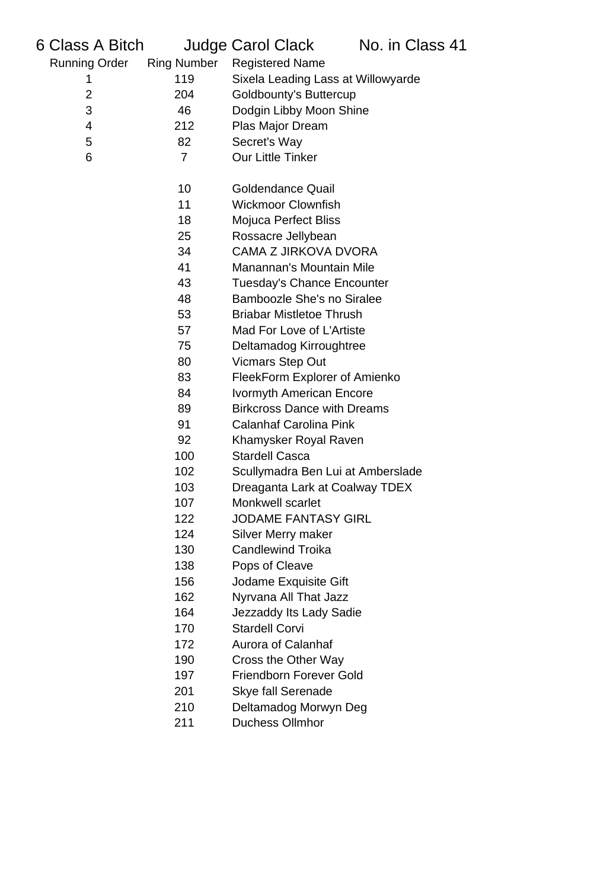| 6 Class A Bitch      |                    | Judge Carol Clack                  | No. in Class 41 |
|----------------------|--------------------|------------------------------------|-----------------|
| <b>Running Order</b> | <b>Ring Number</b> | <b>Registered Name</b>             |                 |
| 1                    | 119                | Sixela Leading Lass at Willowyarde |                 |
| 2                    | 204                | <b>Goldbounty's Buttercup</b>      |                 |
| 3                    | 46                 | Dodgin Libby Moon Shine            |                 |
| 4                    | 212                | Plas Major Dream                   |                 |
| 5                    | 82                 | Secret's Way                       |                 |
| 6                    | $\overline{7}$     | <b>Our Little Tinker</b>           |                 |
|                      |                    |                                    |                 |
|                      | 10                 | <b>Goldendance Quail</b>           |                 |
|                      | 11                 | <b>Wickmoor Clownfish</b>          |                 |
|                      | 18                 | <b>Mojuca Perfect Bliss</b>        |                 |
|                      | 25                 | Rossacre Jellybean                 |                 |
|                      | 34                 | <b>CAMA Z JIRKOVA DVORA</b>        |                 |
|                      | 41                 | Manannan's Mountain Mile           |                 |
|                      | 43                 | <b>Tuesday's Chance Encounter</b>  |                 |
|                      | 48                 | <b>Bamboozle She's no Siralee</b>  |                 |
|                      | 53                 | <b>Briabar Mistletoe Thrush</b>    |                 |
|                      | 57                 | Mad For Love of L'Artiste          |                 |
|                      | 75                 | Deltamadog Kirroughtree            |                 |
|                      | 80                 | <b>Vicmars Step Out</b>            |                 |
|                      | 83                 | FleekForm Explorer of Amienko      |                 |
|                      | 84                 | <b>Ivormyth American Encore</b>    |                 |
|                      | 89                 | <b>Birkcross Dance with Dreams</b> |                 |
|                      | 91                 | <b>Calanhaf Carolina Pink</b>      |                 |
|                      | 92                 | Khamysker Royal Raven              |                 |
|                      | 100                | <b>Stardell Casca</b>              |                 |
|                      | 102                | Scullymadra Ben Lui at Amberslade  |                 |
|                      | 103                | Dreaganta Lark at Coalway TDEX     |                 |
|                      | 107                | Monkwell scarlet                   |                 |
|                      | 122                | <b>JODAME FANTASY GIRL</b>         |                 |
|                      | 124                | Silver Merry maker                 |                 |
|                      | 130                | <b>Candlewind Troika</b>           |                 |
|                      | 138                | Pops of Cleave                     |                 |
|                      | 156                | Jodame Exquisite Gift              |                 |
|                      | 162                | Nyrvana All That Jazz              |                 |
|                      | 164                | Jezzaddy Its Lady Sadie            |                 |
|                      | 170                | <b>Stardell Corvi</b>              |                 |
|                      | 172                | <b>Aurora of Calanhaf</b>          |                 |
|                      | 190                | Cross the Other Way                |                 |
|                      | 197                | <b>Friendborn Forever Gold</b>     |                 |
|                      | 201                | <b>Skye fall Serenade</b>          |                 |
|                      | 210                | Deltamadog Morwyn Deg              |                 |
|                      | 211                | <b>Duchess Ollmhor</b>             |                 |
|                      |                    |                                    |                 |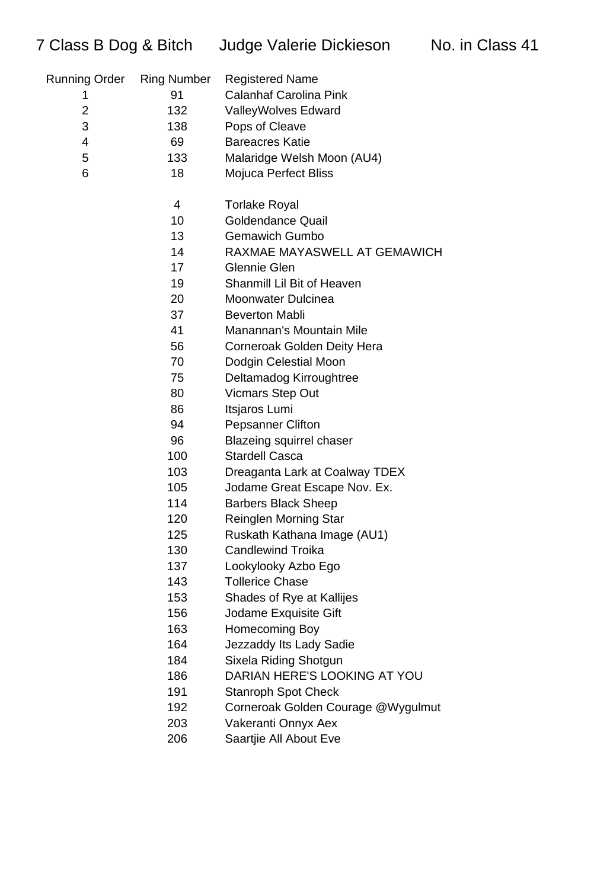| Running Order | <b>Ring Number</b> | <b>Registered Name</b>             |
|---------------|--------------------|------------------------------------|
| 1             | 91                 | <b>Calanhaf Carolina Pink</b>      |
| 2             | 132                | <b>ValleyWolves Edward</b>         |
| 3             | 138                | Pops of Cleave                     |
| 4             | 69                 | <b>Bareacres Katie</b>             |
| 5             | 133                | Malaridge Welsh Moon (AU4)         |
| 6             | 18                 | Mojuca Perfect Bliss               |
|               | 4                  | <b>Torlake Royal</b>               |
|               | 10                 | <b>Goldendance Quail</b>           |
|               | 13                 | <b>Gemawich Gumbo</b>              |
|               | 14                 | RAXMAE MAYASWELL AT GEMAWICH       |
|               | 17                 | Glennie Glen                       |
|               | 19                 | Shanmill Lil Bit of Heaven         |
|               | 20                 | <b>Moonwater Dulcinea</b>          |
|               | 37                 | <b>Beverton Mabli</b>              |
|               | 41                 | Manannan's Mountain Mile           |
|               | 56                 | Corneroak Golden Deity Hera        |
|               | 70                 | Dodgin Celestial Moon              |
|               | 75                 | Deltamadog Kirroughtree            |
|               | 80                 | <b>Vicmars Step Out</b>            |
|               | 86                 | Itsjaros Lumi                      |
|               | 94                 | <b>Pepsanner Clifton</b>           |
|               | 96                 | <b>Blazeing squirrel chaser</b>    |
|               | 100                | <b>Stardell Casca</b>              |
|               | 103                | Dreaganta Lark at Coalway TDEX     |
|               | 105                | Jodame Great Escape Nov. Ex.       |
|               | 114                | <b>Barbers Black Sheep</b>         |
|               | 120                | <b>Reinglen Morning Star</b>       |
|               | 125                | Ruskath Kathana Image (AU1)        |
|               | 130                | <b>Candlewind Troika</b>           |
|               | 137                | Lookylooky Azbo Ego                |
|               | 143                | <b>Tollerice Chase</b>             |
|               | 153                | Shades of Rye at Kallijes          |
|               | 156                | Jodame Exquisite Gift              |
|               | 163                | Homecoming Boy                     |
|               | 164                | Jezzaddy Its Lady Sadie            |
|               | 184                | Sixela Riding Shotgun              |
|               | 186                | DARIAN HERE'S LOOKING AT YOU       |
|               | 191                | <b>Stanroph Spot Check</b>         |
|               | 192                | Corneroak Golden Courage @Wygulmut |
|               | 203                | Vakeranti Onnyx Aex                |
|               | 206                | Saartjie All About Eve             |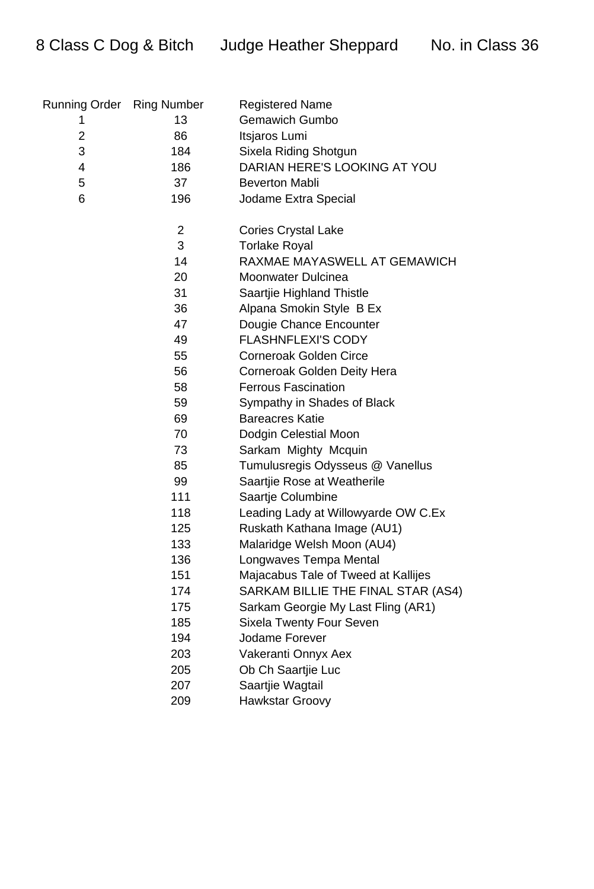8 Class C Dog & Bitch Judge Heather Sheppard No. in Class 36

| Running Order Ring Number |                | <b>Registered Name</b>              |
|---------------------------|----------------|-------------------------------------|
| 1                         | 13             | <b>Gemawich Gumbo</b>               |
| $\overline{2}$            | 86             | Itsjaros Lumi                       |
| 3                         | 184            | Sixela Riding Shotgun               |
| 4                         | 186            | DARIAN HERE'S LOOKING AT YOU        |
| 5                         | 37             | <b>Beverton Mabli</b>               |
| 6                         | 196            | Jodame Extra Special                |
|                           | $\overline{2}$ | <b>Cories Crystal Lake</b>          |
|                           | 3              | <b>Torlake Royal</b>                |
|                           | 14             | RAXMAE MAYASWELL AT GEMAWICH        |
|                           | 20             | <b>Moonwater Dulcinea</b>           |
|                           | 31             | Saartjie Highland Thistle           |
|                           | 36             | Alpana Smokin Style B Ex            |
|                           | 47             | Dougie Chance Encounter             |
|                           | 49             | <b>FLASHNFLEXI'S CODY</b>           |
|                           | 55             | <b>Corneroak Golden Circe</b>       |
|                           | 56             | Corneroak Golden Deity Hera         |
|                           | 58             | <b>Ferrous Fascination</b>          |
|                           | 59             | Sympathy in Shades of Black         |
|                           | 69             | <b>Bareacres Katie</b>              |
|                           | 70             | Dodgin Celestial Moon               |
|                           | 73             | Sarkam Mighty Mcquin                |
|                           | 85             | Tumulusregis Odysseus @ Vanellus    |
|                           | 99             | Saartjie Rose at Weatherile         |
|                           | 111            | Saartje Columbine                   |
|                           | 118            | Leading Lady at Willowyarde OW C.Ex |
|                           | 125            | Ruskath Kathana Image (AU1)         |
|                           | 133            | Malaridge Welsh Moon (AU4)          |
|                           | 136            | Longwaves Tempa Mental              |
|                           | 151            | Majacabus Tale of Tweed at Kallijes |
|                           | 174            | SARKAM BILLIE THE FINAL STAR (AS4)  |
|                           | 175            | Sarkam Georgie My Last Fling (AR1)  |
|                           | 185            | <b>Sixela Twenty Four Seven</b>     |
|                           | 194            | Jodame Forever                      |
|                           | 203            | Vakeranti Onnyx Aex                 |
|                           | 205            | Ob Ch Saartjie Luc                  |
|                           | 207            | Saartjie Wagtail                    |
|                           | 209            | <b>Hawkstar Groovy</b>              |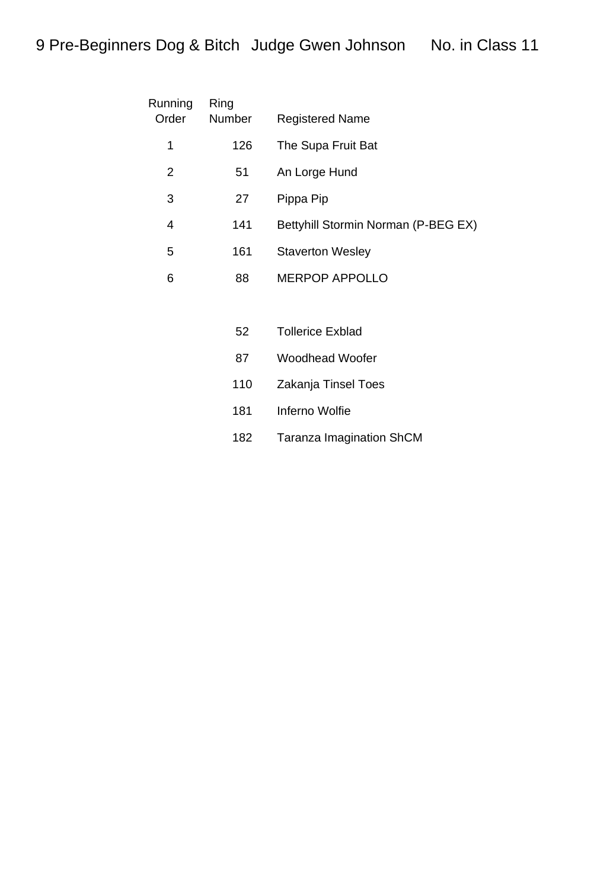| Running<br>Order | Ring<br><b>Number</b> | <b>Registered Name</b>              |
|------------------|-----------------------|-------------------------------------|
| 1                | 126                   | The Supa Fruit Bat                  |
| 2                | 51                    | An Lorge Hund                       |
| 3                | 27                    | Pippa Pip                           |
| 4                | 141                   | Bettyhill Stormin Norman (P-BEG EX) |
| 5                | 161                   | <b>Staverton Wesley</b>             |
| 6                | 88                    | <b>MERPOP APPOLLO</b>               |
|                  |                       |                                     |

| 52  | Tollerice Exblad    |
|-----|---------------------|
| 87  | Woodhead Woofer     |
| 110 | Zakanja Tinsel Toes |
| 181 | Inferno Wolfie      |

Taranza Imagination ShCM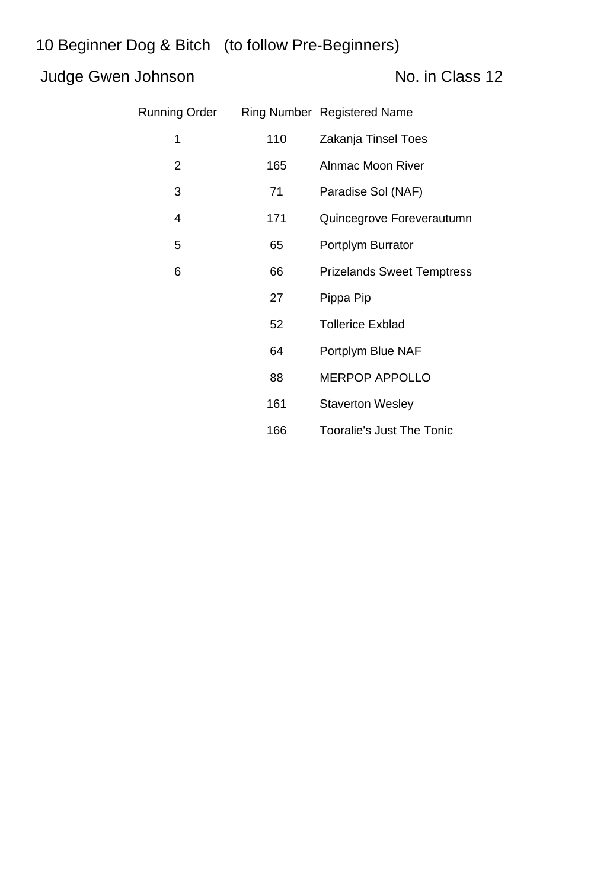### Judge Gwen Johnson No. in Class 12

| Running Order  |     | <b>Ring Number Registered Name</b> |
|----------------|-----|------------------------------------|
| 1              | 110 | Zakanja Tinsel Toes                |
| $\overline{2}$ | 165 | <b>Alnmac Moon River</b>           |
| 3              | 71  | Paradise Sol (NAF)                 |
| 4              | 171 | Quincegrove Foreverautumn          |
| 5              | 65  | Portplym Burrator                  |
| 6              | 66  | <b>Prizelands Sweet Temptress</b>  |
|                | 27  | Pippa Pip                          |
|                | 52  | <b>Tollerice Exblad</b>            |
|                | 64  | Portplym Blue NAF                  |
|                | 88  | <b>MERPOP APPOLLO</b>              |
|                | 161 | <b>Staverton Wesley</b>            |
|                | 166 | <b>Tooralie's Just The Tonic</b>   |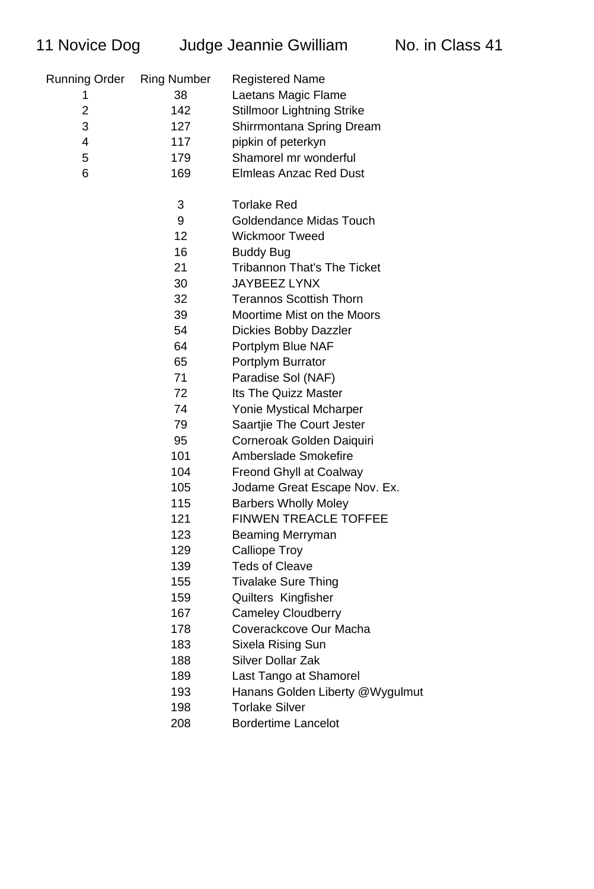| 11 Novice Dog        |                    | Judge Jeannie Gwilliam             | No. in Class 41 |
|----------------------|--------------------|------------------------------------|-----------------|
| <b>Running Order</b> | <b>Ring Number</b> | <b>Registered Name</b>             |                 |
| 1                    | 38                 | Laetans Magic Flame                |                 |
| $\overline{2}$       | 142                | <b>Stillmoor Lightning Strike</b>  |                 |
| 3                    | 127                | Shirrmontana Spring Dream          |                 |
| 4                    | 117                | pipkin of peterkyn                 |                 |
| 5                    | 179                | Shamorel mr wonderful              |                 |
| 6                    | 169                | <b>Elmleas Anzac Red Dust</b>      |                 |
|                      | 3                  | <b>Torlake Red</b>                 |                 |
|                      | 9                  | Goldendance Midas Touch            |                 |
|                      | 12                 | <b>Wickmoor Tweed</b>              |                 |
|                      | 16                 | <b>Buddy Bug</b>                   |                 |
|                      | 21                 | <b>Tribannon That's The Ticket</b> |                 |
|                      | 30                 | <b>JAYBEEZ LYNX</b>                |                 |
|                      | 32                 | <b>Terannos Scottish Thorn</b>     |                 |
|                      | 39                 | Moortime Mist on the Moors         |                 |
|                      | 54                 | <b>Dickies Bobby Dazzler</b>       |                 |
|                      | 64                 | Portplym Blue NAF                  |                 |
|                      | 65                 | Portplym Burrator                  |                 |
|                      | 71                 | Paradise Sol (NAF)                 |                 |
|                      | 72                 | <b>Its The Quizz Master</b>        |                 |
|                      | 74                 | <b>Yonie Mystical Mcharper</b>     |                 |
|                      | 79                 | Saartjie The Court Jester          |                 |
|                      | 95                 | Corneroak Golden Daiquiri          |                 |
|                      | 101                | Amberslade Smokefire               |                 |
|                      | 104                | <b>Freond Ghyll at Coalway</b>     |                 |
|                      | 105                | Jodame Great Escape Nov. Ex.       |                 |
|                      | 115                | <b>Barbers Wholly Moley</b>        |                 |
|                      | 121                | <b>FINWEN TREACLE TOFFEE</b>       |                 |
|                      | 123                | Beaming Merryman                   |                 |
|                      | 129                | <b>Calliope Troy</b>               |                 |
|                      | 139                | <b>Teds of Cleave</b>              |                 |
|                      | 155                | <b>Tivalake Sure Thing</b>         |                 |
|                      | 159                | Quilters Kingfisher                |                 |
|                      | 167                | <b>Cameley Cloudberry</b>          |                 |
|                      | 178                | Coverackcove Our Macha             |                 |
|                      | 183                | Sixela Rising Sun                  |                 |
|                      | 188                | Silver Dollar Zak                  |                 |
|                      | 189                | Last Tango at Shamorel             |                 |
|                      | 193                | Hanans Golden Liberty @Wygulmut    |                 |
|                      | 198                | <b>Torlake Silver</b>              |                 |
|                      | 208                | <b>Bordertime Lancelot</b>         |                 |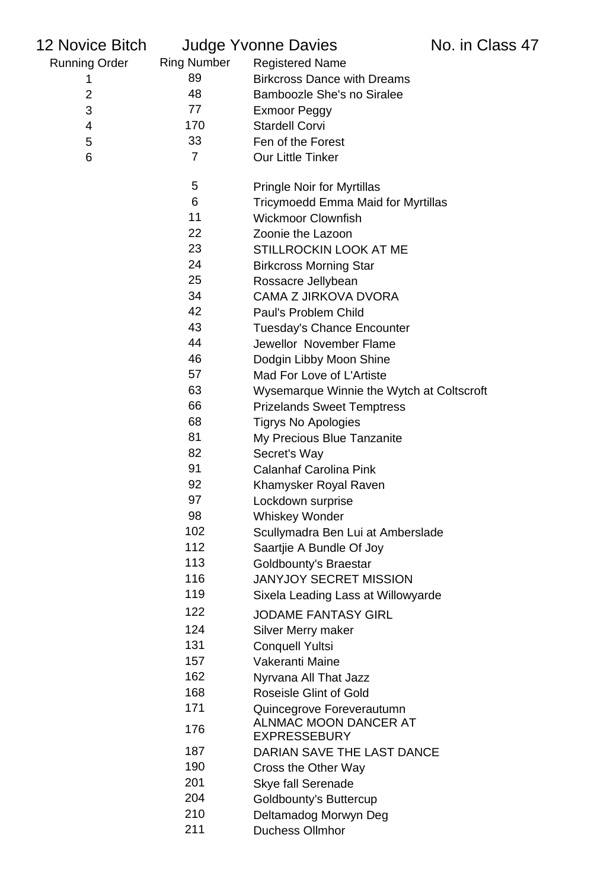| 12 Novice Bitch      |                    | <b>Judge Yvonne Davies</b>                                | No. in Class 47 |
|----------------------|--------------------|-----------------------------------------------------------|-----------------|
| <b>Running Order</b> | <b>Ring Number</b> | <b>Registered Name</b>                                    |                 |
| 1                    | 89                 | <b>Birkcross Dance with Dreams</b>                        |                 |
| $\overline{2}$       | 48                 | Bamboozle She's no Siralee                                |                 |
| 3                    | 77                 | <b>Exmoor Peggy</b>                                       |                 |
| 4                    | 170                | <b>Stardell Corvi</b>                                     |                 |
| 5                    | 33                 | Fen of the Forest                                         |                 |
| 6                    | $\overline{7}$     | <b>Our Little Tinker</b>                                  |                 |
|                      | 5                  | <b>Pringle Noir for Myrtillas</b>                         |                 |
|                      | 6                  | Tricymoedd Emma Maid for Myrtillas                        |                 |
|                      | 11                 | <b>Wickmoor Clownfish</b>                                 |                 |
|                      | 22                 | Zoonie the Lazoon                                         |                 |
|                      | 23                 | STILLROCKIN LOOK AT ME                                    |                 |
|                      | 24                 | <b>Birkcross Morning Star</b>                             |                 |
|                      | 25                 | Rossacre Jellybean                                        |                 |
|                      | 34                 | <b>CAMA Z JIRKOVA DVORA</b>                               |                 |
|                      | 42                 | Paul's Problem Child                                      |                 |
|                      | 43                 | <b>Tuesday's Chance Encounter</b>                         |                 |
|                      | 44                 | Jewellor November Flame                                   |                 |
|                      | 46                 | Dodgin Libby Moon Shine                                   |                 |
|                      | 57                 | Mad For Love of L'Artiste                                 |                 |
|                      | 63                 | Wysemarque Winnie the Wytch at Coltscroft                 |                 |
|                      | 66                 | <b>Prizelands Sweet Temptress</b>                         |                 |
|                      | 68                 | <b>Tigrys No Apologies</b>                                |                 |
|                      | 81                 | My Precious Blue Tanzanite                                |                 |
|                      | 82                 | Secret's Way                                              |                 |
|                      | 91                 | <b>Calanhaf Carolina Pink</b>                             |                 |
|                      | 92                 | Khamysker Royal Raven                                     |                 |
|                      | 97                 | Lockdown surprise                                         |                 |
|                      | 98<br>102          | <b>Whiskey Wonder</b>                                     |                 |
|                      | 112                | Scullymadra Ben Lui at Amberslade                         |                 |
|                      | 113                | Saartjie A Bundle Of Joy                                  |                 |
|                      | 116                | Goldbounty's Braestar<br><b>JANYJOY SECRET MISSION</b>    |                 |
|                      | 119                |                                                           |                 |
|                      |                    | Sixela Leading Lass at Willowyarde                        |                 |
|                      | 122                | <b>JODAME FANTASY GIRL</b>                                |                 |
|                      | 124                | <b>Silver Merry maker</b>                                 |                 |
|                      | 131                | <b>Conquell Yultsi</b>                                    |                 |
|                      | 157                | Vakeranti Maine                                           |                 |
|                      | 162                | Nyrvana All That Jazz                                     |                 |
|                      | 168                | <b>Roseisle Glint of Gold</b>                             |                 |
|                      | 171                | Quincegrove Foreverautumn<br><b>ALNMAC MOON DANCER AT</b> |                 |
|                      | 176                | <b>EXPRESSEBURY</b>                                       |                 |
|                      | 187                | DARIAN SAVE THE LAST DANCE                                |                 |
|                      | 190                | Cross the Other Way                                       |                 |
|                      | 201                | <b>Skye fall Serenade</b>                                 |                 |
|                      | 204                | <b>Goldbounty's Buttercup</b>                             |                 |
|                      | 210                | Deltamadog Morwyn Deg                                     |                 |
|                      | 211                | <b>Duchess Ollmhor</b>                                    |                 |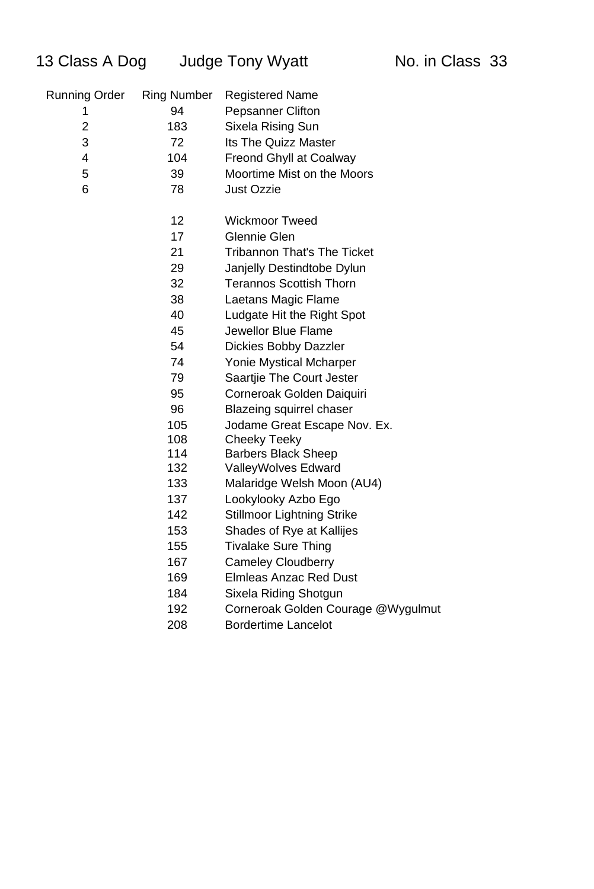| 13 Class A Dog       |                    | <b>Judge Tony Wyatt</b>            | No. in Class 33 |  |
|----------------------|--------------------|------------------------------------|-----------------|--|
| <b>Running Order</b> | <b>Ring Number</b> | <b>Registered Name</b>             |                 |  |
| 1                    | 94                 | <b>Pepsanner Clifton</b>           |                 |  |
| $\overline{2}$       | 183                | Sixela Rising Sun                  |                 |  |
| 3                    | 72                 | <b>Its The Quizz Master</b>        |                 |  |
| 4                    | 104                | <b>Freond Ghyll at Coalway</b>     |                 |  |
| 5                    | 39                 | Moortime Mist on the Moors         |                 |  |
| 6                    | 78                 | <b>Just Ozzie</b>                  |                 |  |
|                      | 12                 | <b>Wickmoor Tweed</b>              |                 |  |
|                      | 17                 | Glennie Glen                       |                 |  |
|                      | 21                 | <b>Tribannon That's The Ticket</b> |                 |  |
|                      | 29                 | Janjelly Destindtobe Dylun         |                 |  |
|                      | 32                 | <b>Terannos Scottish Thorn</b>     |                 |  |
|                      | 38                 | Laetans Magic Flame                |                 |  |
|                      | 40                 | Ludgate Hit the Right Spot         |                 |  |
|                      | 45                 | Jewellor Blue Flame                |                 |  |
|                      | 54                 | <b>Dickies Bobby Dazzler</b>       |                 |  |
|                      | 74                 | Yonie Mystical Mcharper            |                 |  |
|                      | 79                 | Saartjie The Court Jester          |                 |  |
|                      | 95                 | Corneroak Golden Daiquiri          |                 |  |
|                      | 96                 | <b>Blazeing squirrel chaser</b>    |                 |  |
|                      | 105                | Jodame Great Escape Nov. Ex.       |                 |  |
|                      | 108                | <b>Cheeky Teeky</b>                |                 |  |
|                      | 114                | <b>Barbers Black Sheep</b>         |                 |  |
|                      | 132                | <b>ValleyWolves Edward</b>         |                 |  |
|                      | 133                | Malaridge Welsh Moon (AU4)         |                 |  |
|                      | 137                | Lookylooky Azbo Ego                |                 |  |
|                      | 142                | <b>Stillmoor Lightning Strike</b>  |                 |  |
|                      | 153                | Shades of Rye at Kallijes          |                 |  |
|                      | 155                | <b>Tivalake Sure Thing</b>         |                 |  |
|                      | 167                | <b>Cameley Cloudberry</b>          |                 |  |
|                      | 169                | <b>Elmleas Anzac Red Dust</b>      |                 |  |
|                      | 184                | Sixela Riding Shotgun              |                 |  |
|                      | 192                | Corneroak Golden Courage @Wygulmut |                 |  |

Bordertime Lancelot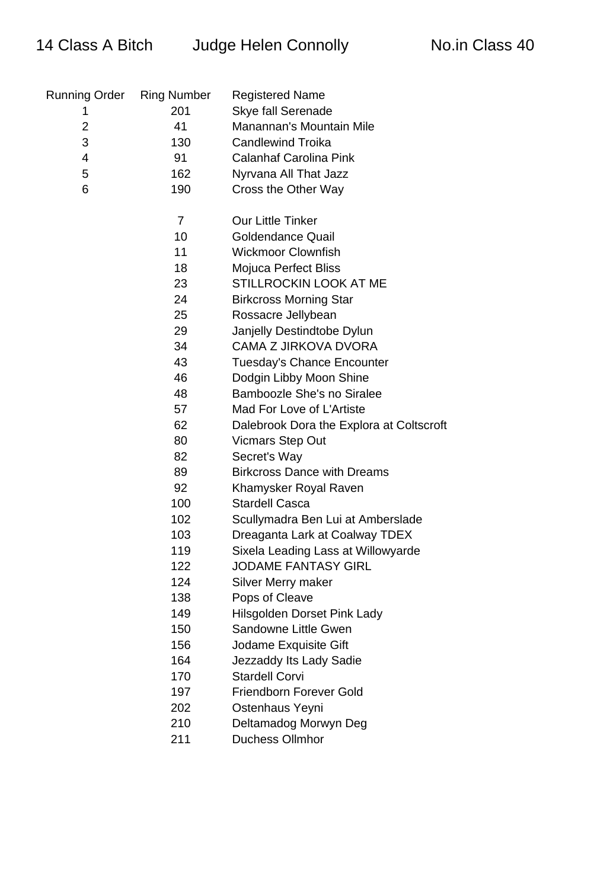## 14 Class A Bitch Judge Helen Connolly No.in Class 40

| <b>Running Order</b> | <b>Ring Number</b> | <b>Registered Name</b>                   |
|----------------------|--------------------|------------------------------------------|
| 1                    | 201                | <b>Skye fall Serenade</b>                |
| $\overline{2}$       | 41                 | Manannan's Mountain Mile                 |
| 3                    | 130                | <b>Candlewind Troika</b>                 |
| $\overline{4}$       | 91                 | <b>Calanhaf Carolina Pink</b>            |
| 5                    | 162                | Nyrvana All That Jazz                    |
| 6                    | 190                | Cross the Other Way                      |
|                      | 7                  | <b>Our Little Tinker</b>                 |
|                      | 10                 | <b>Goldendance Quail</b>                 |
|                      | 11                 | <b>Wickmoor Clownfish</b>                |
|                      | 18                 | <b>Mojuca Perfect Bliss</b>              |
|                      | 23                 | STILLROCKIN LOOK AT ME                   |
|                      | 24                 | <b>Birkcross Morning Star</b>            |
|                      | 25                 | Rossacre Jellybean                       |
|                      | 29                 | Janjelly Destindtobe Dylun               |
|                      | 34                 | <b>CAMA Z JIRKOVA DVORA</b>              |
|                      | 43                 | <b>Tuesday's Chance Encounter</b>        |
|                      | 46                 | Dodgin Libby Moon Shine                  |
|                      | 48                 | <b>Bamboozle She's no Siralee</b>        |
|                      | 57                 | Mad For Love of L'Artiste                |
|                      | 62                 | Dalebrook Dora the Explora at Coltscroft |
|                      | 80                 | <b>Vicmars Step Out</b>                  |
|                      | 82                 | Secret's Way                             |
|                      | 89                 | <b>Birkcross Dance with Dreams</b>       |
|                      | 92                 | Khamysker Royal Raven                    |
|                      | 100                | <b>Stardell Casca</b>                    |
|                      | 102                | Scullymadra Ben Lui at Amberslade        |
|                      | 103                | Dreaganta Lark at Coalway TDEX           |
|                      | 119                | Sixela Leading Lass at Willowyarde       |
|                      | 122                | <b>JODAME FANTASY GIRL</b>               |
|                      | 124                | Silver Merry maker                       |
|                      | 138                | Pops of Cleave                           |
|                      | 149                | <b>Hilsgolden Dorset Pink Lady</b>       |
|                      | 150                | Sandowne Little Gwen                     |
|                      | 156                | Jodame Exquisite Gift                    |
|                      | 164                | Jezzaddy Its Lady Sadie                  |
|                      | 170                | <b>Stardell Corvi</b>                    |
|                      | 197                | <b>Friendborn Forever Gold</b>           |
|                      | 202                | Ostenhaus Yeyni                          |
|                      | 210                | Deltamadog Morwyn Deg                    |
|                      | 211                | <b>Duchess Ollmhor</b>                   |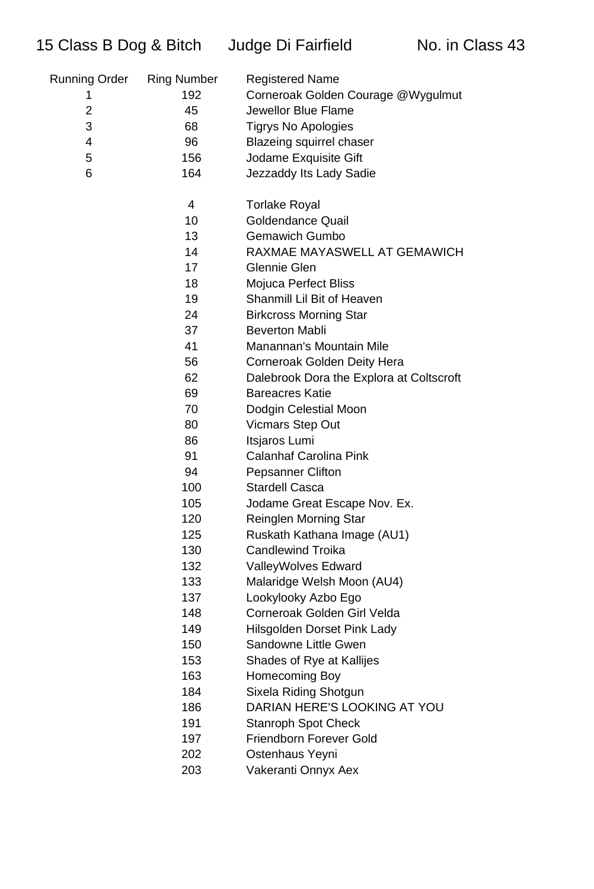| Running Order  | <b>Ring Number</b> | <b>Registered Name</b>                   |
|----------------|--------------------|------------------------------------------|
| 1              | 192                | Corneroak Golden Courage @Wygulmut       |
| $\overline{2}$ | 45                 | Jewellor Blue Flame                      |
| 3              | 68                 | <b>Tigrys No Apologies</b>               |
| 4              | 96                 | <b>Blazeing squirrel chaser</b>          |
| 5              | 156                | Jodame Exquisite Gift                    |
| 6              | 164                | Jezzaddy Its Lady Sadie                  |
|                |                    |                                          |
|                | 4                  | <b>Torlake Royal</b>                     |
|                | 10                 | <b>Goldendance Quail</b>                 |
|                | 13                 | <b>Gemawich Gumbo</b>                    |
|                | 14                 | RAXMAE MAYASWELL AT GEMAWICH             |
|                | 17                 | <b>Glennie Glen</b>                      |
|                | 18                 | Mojuca Perfect Bliss                     |
|                | 19                 | Shanmill Lil Bit of Heaven               |
|                | 24                 | <b>Birkcross Morning Star</b>            |
|                | 37                 | <b>Beverton Mabli</b>                    |
|                | 41                 | Manannan's Mountain Mile                 |
|                | 56                 | Corneroak Golden Deity Hera              |
|                | 62                 | Dalebrook Dora the Explora at Coltscroft |
|                | 69                 | <b>Bareacres Katie</b>                   |
|                | 70                 | Dodgin Celestial Moon                    |
|                | 80                 | <b>Vicmars Step Out</b>                  |
|                | 86                 | Itsjaros Lumi                            |
|                | 91                 | <b>Calanhaf Carolina Pink</b>            |
|                | 94                 | <b>Pepsanner Clifton</b>                 |
|                | 100                | <b>Stardell Casca</b>                    |
|                | 105                | Jodame Great Escape Nov. Ex.             |
|                | 120                | <b>Reinglen Morning Star</b>             |
|                | 125                | Ruskath Kathana Image (AU1)              |
|                | 130                | <b>Candlewind Troika</b>                 |
|                | 132                | ValleyWolves Edward                      |
|                | 133                | Malaridge Welsh Moon (AU4)               |
|                | 137                | Lookylooky Azbo Ego                      |
|                | 148                | Corneroak Golden Girl Velda              |
|                | 149                | Hilsgolden Dorset Pink Lady              |
|                | 150                | Sandowne Little Gwen                     |
|                | 153                | Shades of Rye at Kallijes                |
|                | 163                | Homecoming Boy                           |
|                | 184                | Sixela Riding Shotgun                    |
|                | 186                | DARIAN HERE'S LOOKING AT YOU             |
|                | 191                | <b>Stanroph Spot Check</b>               |
|                | 197                | Friendborn Forever Gold                  |
|                | 202                | Ostenhaus Yeyni                          |
|                | nnn                |                                          |

203 Vakeranti Onnyx Aex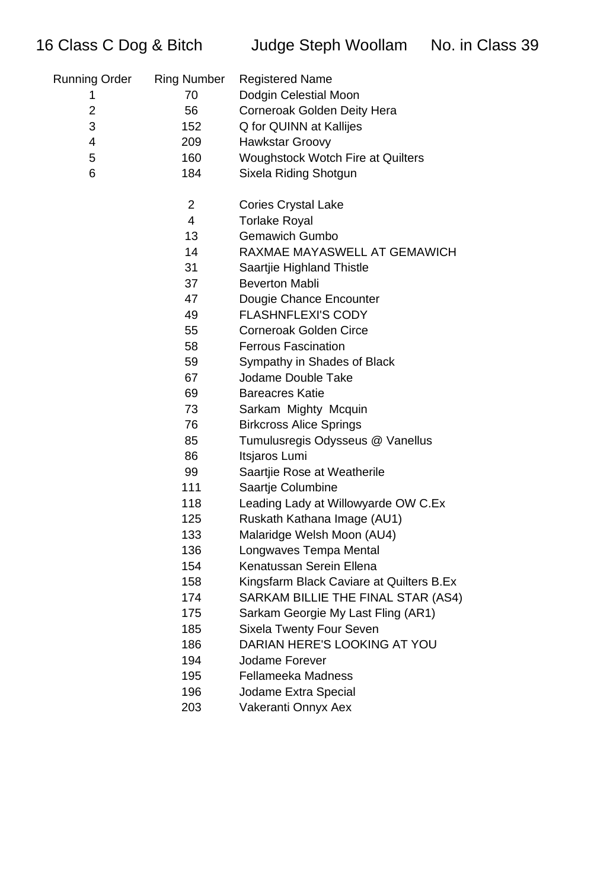| Running Order | <b>Ring Number</b> | <b>Registered Name</b>                   |
|---------------|--------------------|------------------------------------------|
| 1             | 70                 | Dodgin Celestial Moon                    |
| 2             | 56                 | Corneroak Golden Deity Hera              |
| 3             | 152                | Q for QUINN at Kallijes                  |
| 4             | 209                | <b>Hawkstar Groovy</b>                   |
| 5             | 160                | <b>Woughstock Wotch Fire at Quilters</b> |
| 6             | 184                | Sixela Riding Shotgun                    |
|               | $\overline{2}$     | <b>Cories Crystal Lake</b>               |
|               | 4                  | <b>Torlake Royal</b>                     |
|               | 13                 | <b>Gemawich Gumbo</b>                    |
|               | 14                 | RAXMAE MAYASWELL AT GEMAWICH             |
|               | 31                 | Saartjie Highland Thistle                |
|               | 37                 | <b>Beverton Mabli</b>                    |
|               | 47                 | Dougie Chance Encounter                  |
|               | 49                 | <b>FLASHNFLEXI'S CODY</b>                |
|               | 55                 | <b>Corneroak Golden Circe</b>            |
|               | 58                 | <b>Ferrous Fascination</b>               |
|               | 59                 | Sympathy in Shades of Black              |
|               | 67                 | Jodame Double Take                       |
|               | 69                 | <b>Bareacres Katie</b>                   |
|               | 73                 | Sarkam Mighty Mcquin                     |
|               | 76                 | <b>Birkcross Alice Springs</b>           |
|               | 85                 | Tumulusregis Odysseus @ Vanellus         |
|               | 86                 | Itsjaros Lumi                            |
|               | 99                 | Saartjie Rose at Weatherile              |
|               | 111                | Saartje Columbine                        |
|               | 118                | Leading Lady at Willowyarde OW C.Ex      |
|               | 125                | Ruskath Kathana Image (AU1)              |
|               | 133                | Malaridge Welsh Moon (AU4)               |
|               | 136                | Longwaves Tempa Mental                   |
|               | 154                | Kenatussan Serein Ellena                 |
|               | 158                | Kingsfarm Black Caviare at Quilters B.Ex |
|               | 174                | SARKAM BILLIE THE FINAL STAR (AS4)       |
|               | 175                | Sarkam Georgie My Last Fling (AR1)       |
|               | 185                | <b>Sixela Twenty Four Seven</b>          |
|               | 186                | DARIAN HERE'S LOOKING AT YOU             |
|               | 194                | Jodame Forever                           |
|               | 195                | Fellameeka Madness                       |
|               | 196                | Jodame Extra Special                     |

Vakeranti Onnyx Aex